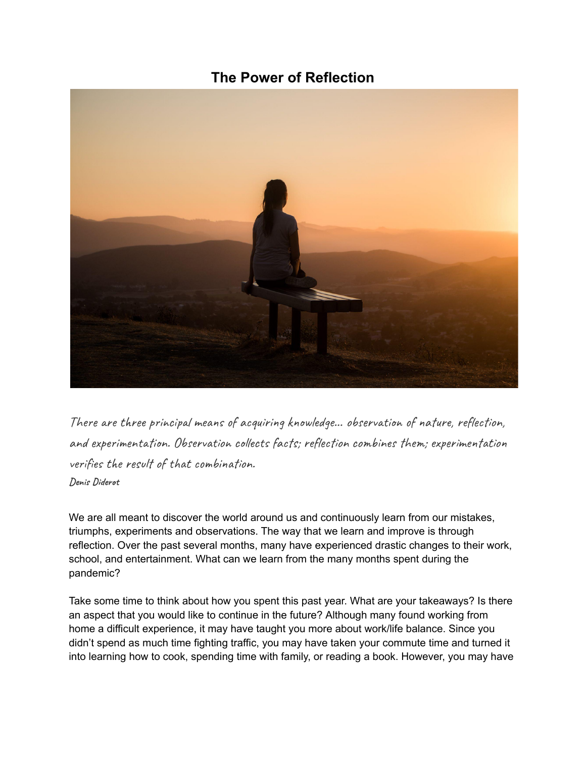## **The Power of Reflection**



There are three principal means of acquiring knowledge... observation of nature, reflection, and experimentation. Observation collects facts; reflection combines them; experimentation verifies the result of that combination. **Denis Diderot**

We are all meant to discover the world around us and continuously learn from our mistakes, triumphs, experiments and observations. The way that we learn and improve is through reflection. Over the past several months, many have experienced drastic changes to their work, school, and entertainment. What can we learn from the many months spent during the pandemic?

Take some time to think about how you spent this past year. What are your takeaways? Is there an aspect that you would like to continue in the future? Although many found working from home a difficult experience, it may have taught you more about work/life balance. Since you didn't spend as much time fighting traffic, you may have taken your commute time and turned it into learning how to cook, spending time with family, or reading a book. However, you may have